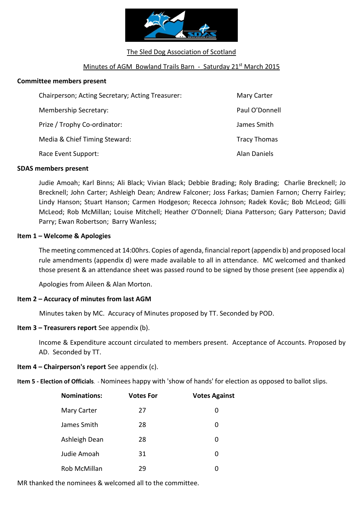

The Sled Dog Association of Scotland

### Minutes of AGM Bowland Trails Barn - Saturday 21<sup>st</sup> March 2015

### **Committee members present**

| Chairperson; Acting Secretary; Acting Treasurer: | <b>Mary Carter</b>  |
|--------------------------------------------------|---------------------|
| Membership Secretary:                            | Paul O'Donnell      |
| Prize / Trophy Co-ordinator:                     | James Smith         |
| Media & Chief Timing Steward:                    | <b>Tracy Thomas</b> |
| Race Event Support:                              | <b>Alan Daniels</b> |

### **SDAS members present**

Judie Amoah; Karl Binns; Ali Black; Vivian Black; Debbie Brading; Roly Brading; Charlie Brecknell; Jo Brecknell; John Carter; Ashleigh Dean; Andrew Falconer; Joss Farkas; Damien Farnon; Cherry Fairley; Lindy Hanson; Stuart Hanson; Carmen Hodgeson; Rececca Johnson; Radek Kovǎc; Bob McLeod; Gilli McLeod; Rob McMillan; Louise Mitchell; Heather O'Donnell; Diana Patterson; Gary Patterson; David Parry; Ewan Robertson; Barry Wanless;

### **Item 1 – Welcome & Apologies**

The meeting commenced at 14:00hrs. Copies of agenda, financial report (appendix b) and proposed local rule amendments (appendix d) were made available to all in attendance. MC welcomed and thanked those present & an attendance sheet was passed round to be signed by those present (see appendix a)

Apologies from Aileen & Alan Morton.

### **Item 2 – Accuracy of minutes from last AGM**

Minutes taken by MC. Accuracy of Minutes proposed by TT. Seconded by POD.

### **Item 3 – Treasurers report** See appendix (b).

Income & Expenditure account circulated to members present. Acceptance of Accounts. Proposed by AD. Seconded by TT.

### **Item 4 – Chairperson's report** See appendix (c).

**Item 5 - Election of Officials**. - Nominees happy with 'show of hands' for election as opposed to ballot slips.

| <b>Nominations:</b> | Votes For | <b>Votes Against</b> |
|---------------------|-----------|----------------------|
| Mary Carter         | 27        | 0                    |
| James Smith         | 28        | 0                    |
| Ashleigh Dean       | 28        | 0                    |
| Judie Amoah         | 31        | 0                    |
| Rob McMillan        | 29        | 0                    |

MR thanked the nominees & welcomed all to the committee.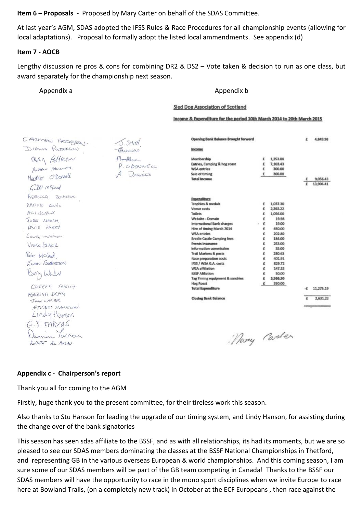**Item 6 – Proposals -** Proposed by Mary Carter on behalf of the SDAS Committee.

At last year's AGM, SDAS adopted the IFSS Rules & Race Procedures for all championship events (allowing for local adaptations). Proposal to formally adopt the listed local ammendments. See appendix (d)

### **Item 7 - AOCB**

Lengthy discussion re pros & cons for combining DR2 & DS2 – Vote taken & decision to run as one class, but award separately for the championship next season.

### Appendix a **Appendix a** Appendix b

### **Sled Dog Association of Scotland**

Income & Expenditure for the period 10th March 2014 to 20th March 2015

| CARMEN HOODSQU.                                                                                                                                                                          | $\sqrt{3.5}$ $mH$               | <b>Opening Bank Balance Brought forward</b>                                                                                                                                                                                                                                                                                                                                                                                                                                                        |                                                                                             |                                                                                                                                                                            | £       | 4,849.98              |
|------------------------------------------------------------------------------------------------------------------------------------------------------------------------------------------|---------------------------------|----------------------------------------------------------------------------------------------------------------------------------------------------------------------------------------------------------------------------------------------------------------------------------------------------------------------------------------------------------------------------------------------------------------------------------------------------------------------------------------------------|---------------------------------------------------------------------------------------------|----------------------------------------------------------------------------------------------------------------------------------------------------------------------------|---------|-----------------------|
| DIAMA POCTTOPSON                                                                                                                                                                         | Thomas                          | Income                                                                                                                                                                                                                                                                                                                                                                                                                                                                                             |                                                                                             |                                                                                                                                                                            |         |                       |
| SARY Pallason<br>Heather O'Donnell                                                                                                                                                       | May<br>P. ODONNELL<br>A DANIELS | Membership<br>Entries, Camping & hog roast<br><b>WSA</b> entries<br>Sale of timing<br><b>Total Income</b>                                                                                                                                                                                                                                                                                                                                                                                          | £                                                                                           | 1,353.00<br>7,103.43<br>300.00<br>300.00                                                                                                                                   | £<br>£  | 9.056.43<br>13,906.41 |
| Cilli mcleed<br>REBECCA JOHNSON<br>RADOK KOUAC<br>ALIBLACK<br>JUDE AMORH<br>DAVID PARRY<br>Laure mithon<br>VIVIAN GLACK<br>Beb Mclead,<br>KUMN ROBERTSON<br>Barry Wald<br>CHERRY FAIRLEY |                                 | Expenditure<br><b>Trophies &amp; medals</b><br>Venue costs<br><b>Toilets</b><br>Website - Domain<br>International Bank charges<br>Hire of timing March 2014<br><b>WSA</b> entries<br><b>Brodie Castle Camping fees</b><br><b>Events Insurance</b><br>information commission<br><b>Trail Markers &amp; posts</b><br>Race preparation costs<br>IFSS / WSA G.A. costs<br>WSA affiliation<br><b>BSSF Afiliation</b><br>Tag Timing equipment & sundries<br><b>Hog Roast</b><br><b>Total Expenditure</b> | £<br>€<br>£<br>£<br>£<br>$\sim$<br>£<br>£<br>٤<br>٤<br>٤<br>£<br>£<br>£<br>e<br>€<br>₫<br>£ | 1,037.30<br>2,392.22<br>1,056.00<br>19.98<br>19.00<br>450.00<br>202.80<br>184.00<br>253.00<br>35.00<br>280.63<br>401.91<br>829.72<br>147,33<br>50.00<br>3,566.30<br>350.00 |         |                       |
| ASHLEIGH DEAN                                                                                                                                                                            |                                 | <b>Closing Bank Balance</b>                                                                                                                                                                                                                                                                                                                                                                                                                                                                        |                                                                                             |                                                                                                                                                                            | ٠£<br>£ | 11,275.19<br>2,631.22 |
| JUN CARTOR<br>STVART HANSON<br>Lindy Harson<br>$G.5$ FRAGGAS<br>Danier Leonar<br>RNSOF H ALLAI                                                                                           |                                 |                                                                                                                                                                                                                                                                                                                                                                                                                                                                                                    |                                                                                             | Mary <i>Carler</i>                                                                                                                                                         |         |                       |

### **Appendix c - Chairperson's report**

Thank you all for coming to the AGM

Firstly, huge thank you to the present committee, for their tireless work this season.

Also thanks to Stu Hanson for leading the upgrade of our timing system, and Lindy Hanson, for assisting during the change over of the bank signatories

This season has seen sdas affiliate to the BSSF, and as with all relationships, its had its moments, but we are so pleased to see our SDAS members dominating the classes at the BSSF National Championships in Thetford, and representing GB in the various overseas European & world championships. And this coming season, I am sure some of our SDAS members will be part of the GB team competing in Canada! Thanks to the BSSF our SDAS members will have the opportunity to race in the mono sport disciplines when we invite Europe to race here at Bowland Trails, (on a completely new track) in October at the ECF Europeans , then race against the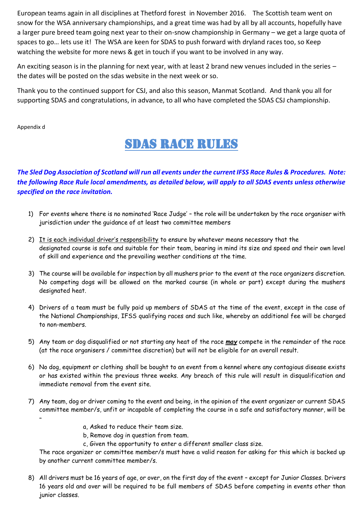European teams again in all disciplines at Thetford forest in November 2016. The Scottish team went on snow for the WSA anniversary championships, and a great time was had by all by all accounts, hopefully have a larger pure breed team going next year to their on-snow championship in Germany – we get a large quota of spaces to go… lets use it! The WSA are keen for SDAS to push forward with dryland races too, so Keep watching the website for more news & get in touch if you want to be involved in any way.

An exciting season is in the planning for next year, with at least 2 brand new venues included in the series – the dates will be posted on the sdas website in the next week or so.

Thank you to the continued support for CSJ, and also this season, Manmat Scotland. And thank you all for supporting SDAS and congratulations, in advance, to all who have completed the SDAS CSJ championship.

Appendix d

# SDAS RACE RULES Ξ

## *The Sled Dog Association of Scotland will run all events under the current IFSS Race Rules & Procedures. Note: the following Race Rule local amendments, as detailed below, will apply to all SDAS events unless otherwise specified on the race invitation.*

- 1) For events where there is no nominated 'Race Judge' the role will be undertaken by the race organiser with jurisdiction under the guidance of at least two committee members
- 2) It is each individual driver's responsibility to ensure by whatever means necessary that the designated course is safe and suitable for their team, bearing in mind its size and speed and their own level of skill and experience and the prevailing weather conditions at the time.
- 3) The course will be available for inspection by all mushers prior to the event at the race organizers discretion. No competing dogs will be allowed on the marked course (in whole or part) except during the mushers designated heat.
- 4) Drivers of a team must be fully paid up members of SDAS at the time of the event, except in the case of the National Championships, IFSS qualifying races and such like, whereby an additional fee will be charged to non-members.
- 5) Any team or dog disqualified or not starting any heat of the race *may* compete in the remainder of the race (at the race organisers / committee discretion) but will not be eligible for an overall result.
- 6) No dog, equipment or clothing shall be bought to an event from a kennel where any contagious disease exists or has existed within the previous three weeks. Any breach of this rule will result in disqualification and immediate removal from the event site.
- 7) Any team, dog or driver coming to the event and being, in the opinion of the event organizer or current SDAS committee member/s, unfit or incapable of completing the course in a safe and satisfactory manner, will be –
	- a, Asked to reduce their team size.
	- b, Remove dog in question from team.
	- c, Given the opportunity to enter a different smaller class size.

The race organizer or committee member/s must have a valid reason for asking for this which is backed up by another current committee member/s.

8) All drivers must be 16 years of age, or over, on the first day of the event – except for Junior Classes. Drivers 16 years old and over will be required to be full members of SDAS before competing in events other than junior classes.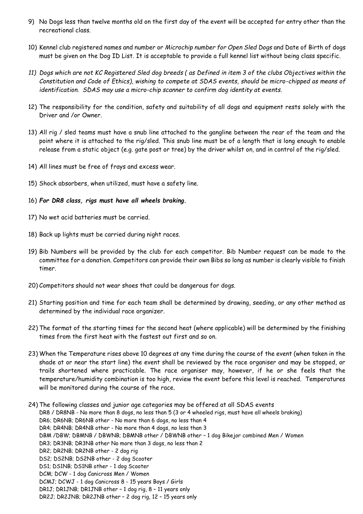- 9) No Dogs less than twelve months old on the first day of the event will be accepted for entry other than the recreational class.
- 10) Kennel club registered names and number or *Microchip number for Open Sled Dogs* and Date of Birth of dogs must be given on the Dog ID List. It is acceptable to provide a full kennel list without being class specific.
- *11) Dogs which are not KC Registered Sled dog breeds ( as Defined in item 3 of the clubs Objectives within the Constitution and Code of Ethics), wishing to compete at SDAS events, should be micro-chipped as means of identification. SDAS may use a micro-chip scanner to confirm dog identity at events.*
- 12) The responsibility for the condition, safety and suitability of all dogs and equipment rests solely with the Driver and /or Owner.
- 13) All rig / sled teams must have a snub line attached to the gangline between the rear of the team and the point where it is attached to the rig/sled. This snub line must be of a length that is long enough to enable release from a static object (e.g. gate post or tree) by the driver whilst on, and in control of the rig/sled.
- 14) All lines must be free of frays and excess wear.
- 15) Shock absorbers, when utilized, must have a safety line.
- 16) *For DR8 class, rigs must have all wheels braking.*
- 17) No wet acid batteries must be carried.
- 18) Back up lights must be carried during night races.
- 19) Bib Numbers will be provided by the club for each competitor. Bib Number request can be made to the committee for a donation. Competitors can provide their own Bibs so long as number is clearly visible to finish timer.
- 20) Competitors should not wear shoes that could be dangerous for dogs.
- 21) Starting position and time for each team shall be determined by drawing, seeding, or any other method as determined by the individual race organizer.
- 22) The format of the starting times for the second heat (where applicable) will be determined by the finishing times from the first heat with the fastest out first and so on.
- 23) When the Temperature rises above 10 degrees at any time during the course of the event (when taken in the shade at or near the start line) the event shall be reviewed by the race organiser and may be stopped, or trails shortened where practicable. The race organiser may, however, if he or she feels that the temperature/humidity combination is too high, review the event before this level is reached. Temperatures will be monitored during the course of the race.
- 24) The following classes and junior age categories may be offered at all SDAS events DR8 / DR8NB - No more than 8 dogs, no less than 5 (3 or 4 wheeled rigs, must have all wheels braking) DR6; DR6NB; DR6NB other - No more than 6 dogs, no less than 4 DR4; DR4NB; DR4NB other - No more than 4 dogs, no less than 3 DBM /DBW; DBMNB / DBWNB; DBMNB other / DBWNB other – 1 dog Bikejor combined Men / Women DR3; DR3NB; DR3NB other No more than 3 dogs, no less than 2 DR2; DR2NB; DR2NB other - 2 dog rig DS2; DS2NB; DS2NB other - 2 dog Scooter DS1; DS1NB; DS1NB other - 1 dog Scooter DCM; DCW - 1 dog Canicross Men / Women DCMJ; DCWJ - 1 dog Canicross 8 - 15 years Boys / Girls DR1J; DR1JNB; DR1JNB other – 1 dog rig, 8 – 11 years only
	- DR2J; DR2JNB; DR2JNB other 2 dog rig, 12 15 years only